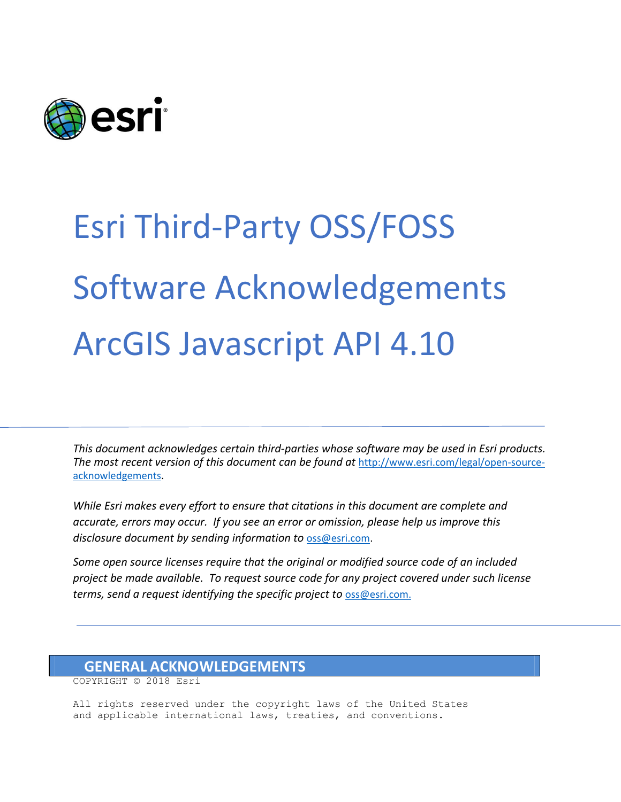

## Esri Third-Party OSS/FOSS Software Acknowledgements ArcGIS Javascript API 4.10

*This document acknowledges certain third‐parties whose software may be used in Esri products. The most recent version of this document can be found at* [http://www.esri.com/legal/open-source](http://www.esri.com/legal/open-source-acknowledgements)[acknowledgements.](http://www.esri.com/legal/open-source-acknowledgements)

*While Esri makes every effort to ensure that citations in this document are complete and accurate, errors may occur. If you see an error or omission, please help us improve this disclosure document by sending information to* [oss@esri.com.](mailto:oss@esri.com)

*Some open source licenses require that the original or modified source code of an included project be made available. To request source code for any project covered under such license terms, send a request identifying the specific project to* [oss@esri.com.](mailto:oss@esri.com)

## **GENERAL ACKNOWLEDGEMENTS**

COPYRIGHT © 2018 Esri

All rights reserved under the copyright laws of the United States and applicable international laws, treaties, and conventions.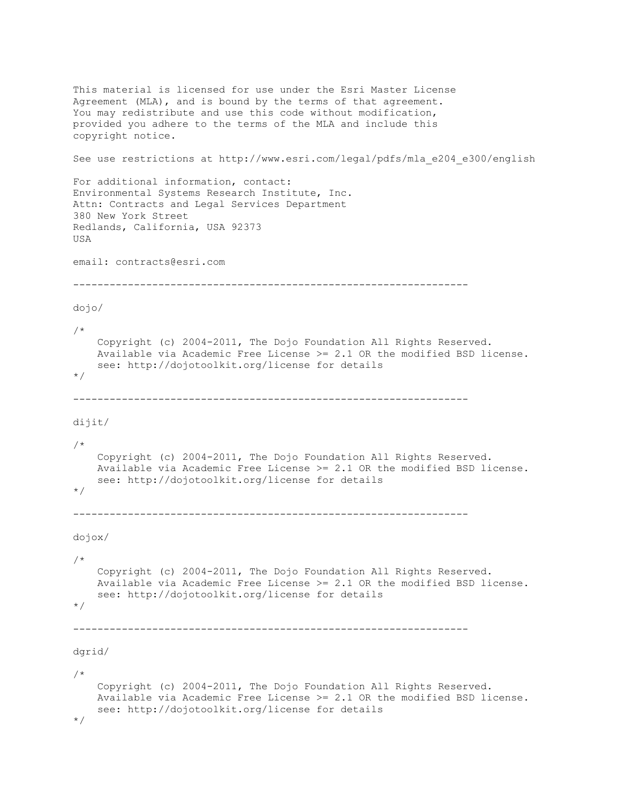```
This material is licensed for use under the Esri Master License
Agreement (MLA), and is bound by the terms of that agreement.
You may redistribute and use this code without modification,
provided you adhere to the terms of the MLA and include this
copyright notice.
See use restrictions at http://www.esri.com/legal/pdfs/mla_e204_e300/english
For additional information, contact:
Environmental Systems Research Institute, Inc.
Attn: Contracts and Legal Services Department
380 New York Street
Redlands, California, USA 92373
USA
email: contracts@esri.com
-----------------------------------------------------------------
dojo/
/*
     Copyright (c) 2004-2011, The Dojo Foundation All Rights Reserved.
    Available via Academic Free License >= 2.1 OR the modified BSD license.
    see: http://dojotoolkit.org/license for details
*/
-----------------------------------------------------------------
dijit/
/*
     Copyright (c) 2004-2011, The Dojo Foundation All Rights Reserved.
     Available via Academic Free License >= 2.1 OR the modified BSD license.
     see: http://dojotoolkit.org/license for details
*/
-----------------------------------------------------------------
dojox/
/*
     Copyright (c) 2004-2011, The Dojo Foundation All Rights Reserved.
     Available via Academic Free License >= 2.1 OR the modified BSD license.
     see: http://dojotoolkit.org/license for details
*/
-----------------------------------------------------------------
dgrid/
/*
     Copyright (c) 2004-2011, The Dojo Foundation All Rights Reserved.
    Available via Academic Free License >= 2.1 OR the modified BSD license.
    see: http://dojotoolkit.org/license for details
*/
```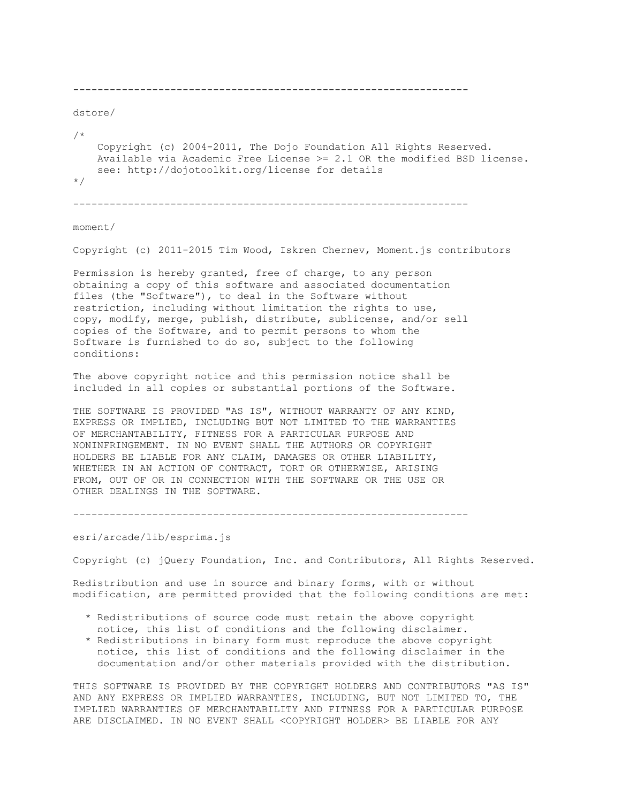```
-----------------------------------------------------------------
dstore/
/*
     Copyright (c) 2004-2011, The Dojo Foundation All Rights Reserved.
    Available via Academic Free License >= 2.1 OR the modified BSD license.
     see: http://dojotoolkit.org/license for details
*/
```
-----------------------------------------------------------------

## moment/

Copyright (c) 2011-2015 Tim Wood, Iskren Chernev, Moment.js contributors

Permission is hereby granted, free of charge, to any person obtaining a copy of this software and associated documentation files (the "Software"), to deal in the Software without restriction, including without limitation the rights to use, copy, modify, merge, publish, distribute, sublicense, and/or sell copies of the Software, and to permit persons to whom the Software is furnished to do so, subject to the following conditions:

The above copyright notice and this permission notice shall be included in all copies or substantial portions of the Software.

THE SOFTWARE IS PROVIDED "AS IS", WITHOUT WARRANTY OF ANY KIND, EXPRESS OR IMPLIED, INCLUDING BUT NOT LIMITED TO THE WARRANTIES OF MERCHANTABILITY, FITNESS FOR A PARTICULAR PURPOSE AND NONINFRINGEMENT. IN NO EVENT SHALL THE AUTHORS OR COPYRIGHT HOLDERS BE LIABLE FOR ANY CLAIM, DAMAGES OR OTHER LIABILITY, WHETHER IN AN ACTION OF CONTRACT, TORT OR OTHERWISE, ARISING FROM, OUT OF OR IN CONNECTION WITH THE SOFTWARE OR THE USE OR OTHER DEALINGS IN THE SOFTWARE.

-----------------------------------------------------------------

esri/arcade/lib/esprima.js

Copyright (c) jQuery Foundation, Inc. and Contributors, All Rights Reserved.

Redistribution and use in source and binary forms, with or without modification, are permitted provided that the following conditions are met:

- \* Redistributions of source code must retain the above copyright notice, this list of conditions and the following disclaimer.
- \* Redistributions in binary form must reproduce the above copyright notice, this list of conditions and the following disclaimer in the documentation and/or other materials provided with the distribution.

THIS SOFTWARE IS PROVIDED BY THE COPYRIGHT HOLDERS AND CONTRIBUTORS "AS IS" AND ANY EXPRESS OR IMPLIED WARRANTIES, INCLUDING, BUT NOT LIMITED TO, THE IMPLIED WARRANTIES OF MERCHANTABILITY AND FITNESS FOR A PARTICULAR PURPOSE ARE DISCLAIMED. IN NO EVENT SHALL <COPYRIGHT HOLDER> BE LIABLE FOR ANY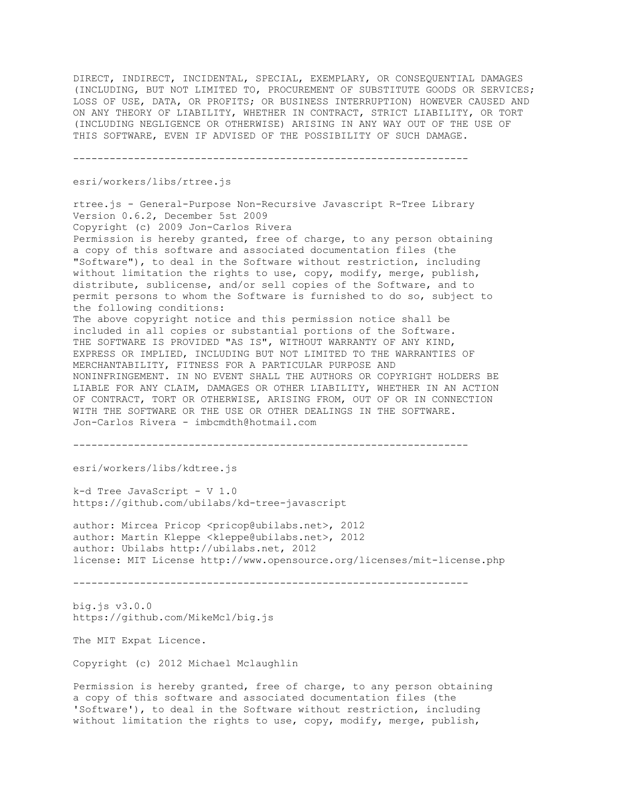DIRECT, INDIRECT, INCIDENTAL, SPECIAL, EXEMPLARY, OR CONSEQUENTIAL DAMAGES (INCLUDING, BUT NOT LIMITED TO, PROCUREMENT OF SUBSTITUTE GOODS OR SERVICES; LOSS OF USE, DATA, OR PROFITS; OR BUSINESS INTERRUPTION) HOWEVER CAUSED AND ON ANY THEORY OF LIABILITY, WHETHER IN CONTRACT, STRICT LIABILITY, OR TORT (INCLUDING NEGLIGENCE OR OTHERWISE) ARISING IN ANY WAY OUT OF THE USE OF THIS SOFTWARE, EVEN IF ADVISED OF THE POSSIBILITY OF SUCH DAMAGE.

-----------------------------------------------------------------

esri/workers/libs/rtree.js

rtree.js - General-Purpose Non-Recursive Javascript R-Tree Library Version 0.6.2, December 5st 2009 Copyright (c) 2009 Jon-Carlos Rivera Permission is hereby granted, free of charge, to any person obtaining a copy of this software and associated documentation files (the "Software"), to deal in the Software without restriction, including without limitation the rights to use, copy, modify, merge, publish, distribute, sublicense, and/or sell copies of the Software, and to permit persons to whom the Software is furnished to do so, subject to the following conditions: The above copyright notice and this permission notice shall be included in all copies or substantial portions of the Software. THE SOFTWARE IS PROVIDED "AS IS", WITHOUT WARRANTY OF ANY KIND, EXPRESS OR IMPLIED, INCLUDING BUT NOT LIMITED TO THE WARRANTIES OF MERCHANTABILITY, FITNESS FOR A PARTICULAR PURPOSE AND NONINFRINGEMENT. IN NO EVENT SHALL THE AUTHORS OR COPYRIGHT HOLDERS BE LIABLE FOR ANY CLAIM, DAMAGES OR OTHER LIABILITY, WHETHER IN AN ACTION OF CONTRACT, TORT OR OTHERWISE, ARISING FROM, OUT OF OR IN CONNECTION WITH THE SOFTWARE OR THE USE OR OTHER DEALINGS IN THE SOFTWARE. Jon-Carlos Rivera - imbcmdth@hotmail.com

-----------------------------------------------------------------

esri/workers/libs/kdtree.js

k-d Tree JavaScript - V 1.0 https://github.com/ubilabs/kd-tree-javascript

author: Mircea Pricop <pricop@ubilabs.net>, 2012 author: Martin Kleppe <kleppe@ubilabs.net>, 2012 author: Ubilabs http://ubilabs.net, 2012 license: MIT License http://www.opensource.org/licenses/mit-license.php

-----------------------------------------------------------------

big.js v3.0.0 https://github.com/MikeMcl/big.js

The MIT Expat Licence.

Copyright (c) 2012 Michael Mclaughlin

Permission is hereby granted, free of charge, to any person obtaining a copy of this software and associated documentation files (the 'Software'), to deal in the Software without restriction, including without limitation the rights to use, copy, modify, merge, publish,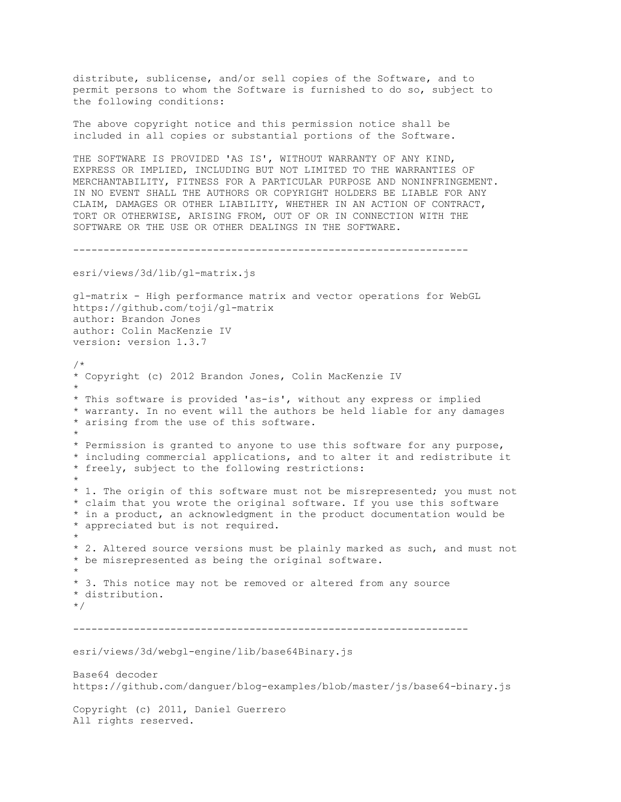distribute, sublicense, and/or sell copies of the Software, and to permit persons to whom the Software is furnished to do so, subject to the following conditions: The above copyright notice and this permission notice shall be included in all copies or substantial portions of the Software. THE SOFTWARE IS PROVIDED 'AS IS', WITHOUT WARRANTY OF ANY KIND, EXPRESS OR IMPLIED, INCLUDING BUT NOT LIMITED TO THE WARRANTIES OF MERCHANTABILITY, FITNESS FOR A PARTICULAR PURPOSE AND NONINFRINGEMENT. IN NO EVENT SHALL THE AUTHORS OR COPYRIGHT HOLDERS BE LIABLE FOR ANY CLAIM, DAMAGES OR OTHER LIABILITY, WHETHER IN AN ACTION OF CONTRACT, TORT OR OTHERWISE, ARISING FROM, OUT OF OR IN CONNECTION WITH THE SOFTWARE OR THE USE OR OTHER DEALINGS IN THE SOFTWARE. ---------------------------------------------------------------- esri/views/3d/lib/gl-matrix.js gl-matrix - High performance matrix and vector operations for WebGL https://github.com/toji/gl-matrix author: Brandon Jones

version: version 1.3.7 /\* \* Copyright (c) 2012 Brandon Jones, Colin MacKenzie IV \* \* This software is provided 'as-is', without any express or implied \* warranty. In no event will the authors be held liable for any damages \* arising from the use of this software. \* \* Permission is granted to anyone to use this software for any purpose, \* including commercial applications, and to alter it and redistribute it \* freely, subject to the following restrictions: \* \* 1. The origin of this software must not be misrepresented; you must not \* claim that you wrote the original software. If you use this software \* in a product, an acknowledgment in the product documentation would be \* appreciated but is not required. \* \* 2. Altered source versions must be plainly marked as such, and must not \* be misrepresented as being the original software. \* \* 3. This notice may not be removed or altered from any source \* distribution. \*/ ---------------------------------------------------------------- esri/views/3d/webgl-engine/lib/base64Binary.js Base64 decoder https://github.com/danguer/blog-examples/blob/master/js/base64-binary.js Copyright (c) 2011, Daniel Guerrero

All rights reserved.

author: Colin MacKenzie IV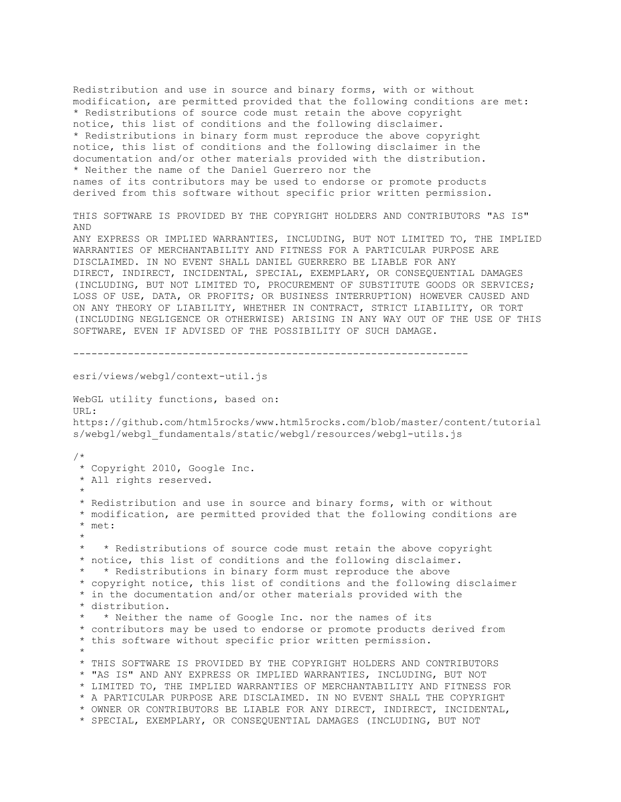Redistribution and use in source and binary forms, with or without modification, are permitted provided that the following conditions are met: \* Redistributions of source code must retain the above copyright notice, this list of conditions and the following disclaimer. \* Redistributions in binary form must reproduce the above copyright notice, this list of conditions and the following disclaimer in the documentation and/or other materials provided with the distribution. \* Neither the name of the Daniel Guerrero nor the names of its contributors may be used to endorse or promote products derived from this software without specific prior written permission. THIS SOFTWARE IS PROVIDED BY THE COPYRIGHT HOLDERS AND CONTRIBUTORS "AS IS" AND ANY EXPRESS OR IMPLIED WARRANTIES, INCLUDING, BUT NOT LIMITED TO, THE IMPLIED WARRANTIES OF MERCHANTABILITY AND FITNESS FOR A PARTICULAR PURPOSE ARE DISCLAIMED. IN NO EVENT SHALL DANIEL GUERRERO BE LIABLE FOR ANY DIRECT, INDIRECT, INCIDENTAL, SPECIAL, EXEMPLARY, OR CONSEQUENTIAL DAMAGES (INCLUDING, BUT NOT LIMITED TO, PROCUREMENT OF SUBSTITUTE GOODS OR SERVICES; LOSS OF USE, DATA, OR PROFITS; OR BUSINESS INTERRUPTION) HOWEVER CAUSED AND ON ANY THEORY OF LIABILITY, WHETHER IN CONTRACT, STRICT LIABILITY, OR TORT (INCLUDING NEGLIGENCE OR OTHERWISE) ARISING IN ANY WAY OUT OF THE USE OF THIS SOFTWARE, EVEN IF ADVISED OF THE POSSIBILITY OF SUCH DAMAGE. ---------------------------------------------------------------- esri/views/webgl/context-util.js WebGL utility functions, based on: URL: https://github.com/html5rocks/www.html5rocks.com/blob/master/content/tutorial s/webgl/webgl\_fundamentals/static/webgl/resources/webgl-utils.js /\* \* Copyright 2010, Google Inc. \* All rights reserved. \* \* Redistribution and use in source and binary forms, with or without \* modification, are permitted provided that the following conditions are \* met: \* \* \* Redistributions of source code must retain the above copyright \* notice, this list of conditions and the following disclaimer. \* \* Redistributions in binary form must reproduce the above \* copyright notice, this list of conditions and the following disclaimer \* in the documentation and/or other materials provided with the \* distribution. \* \* Neither the name of Google Inc. nor the names of its \* contributors may be used to endorse or promote products derived from \* this software without specific prior written permission. \* \* THIS SOFTWARE IS PROVIDED BY THE COPYRIGHT HOLDERS AND CONTRIBUTORS \* "AS IS" AND ANY EXPRESS OR IMPLIED WARRANTIES, INCLUDING, BUT NOT \* LIMITED TO, THE IMPLIED WARRANTIES OF MERCHANTABILITY AND FITNESS FOR \* A PARTICULAR PURPOSE ARE DISCLAIMED. IN NO EVENT SHALL THE COPYRIGHT \* OWNER OR CONTRIBUTORS BE LIABLE FOR ANY DIRECT, INDIRECT, INCIDENTAL, \* SPECIAL, EXEMPLARY, OR CONSEQUENTIAL DAMAGES (INCLUDING, BUT NOT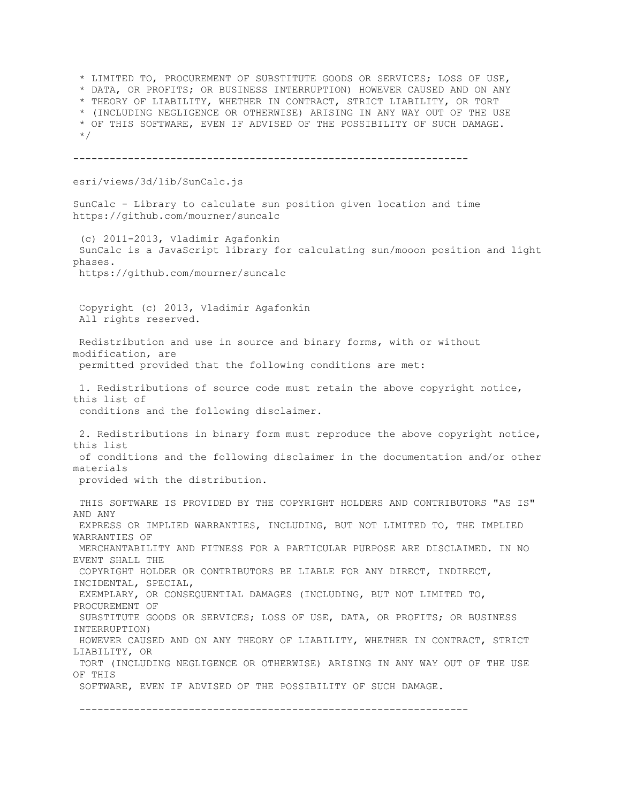\* LIMITED TO, PROCUREMENT OF SUBSTITUTE GOODS OR SERVICES; LOSS OF USE, \* DATA, OR PROFITS; OR BUSINESS INTERRUPTION) HOWEVER CAUSED AND ON ANY \* THEORY OF LIABILITY, WHETHER IN CONTRACT, STRICT LIABILITY, OR TORT \* (INCLUDING NEGLIGENCE OR OTHERWISE) ARISING IN ANY WAY OUT OF THE USE \* OF THIS SOFTWARE, EVEN IF ADVISED OF THE POSSIBILITY OF SUCH DAMAGE.  $^{\star}/$ ---------------------------------------------------------------- esri/views/3d/lib/SunCalc.js SunCalc - Library to calculate sun position given location and time https://github.com/mourner/suncalc (c) 2011-2013, Vladimir Agafonkin SunCalc is a JavaScript library for calculating sun/mooon position and light phases. https://github.com/mourner/suncalc Copyright (c) 2013, Vladimir Agafonkin All rights reserved. Redistribution and use in source and binary forms, with or without modification, are permitted provided that the following conditions are met: 1. Redistributions of source code must retain the above copyright notice, this list of conditions and the following disclaimer. 2. Redistributions in binary form must reproduce the above copyright notice, this list of conditions and the following disclaimer in the documentation and/or other materials provided with the distribution. THIS SOFTWARE IS PROVIDED BY THE COPYRIGHT HOLDERS AND CONTRIBUTORS "AS IS" AND ANY EXPRESS OR IMPLIED WARRANTIES, INCLUDING, BUT NOT LIMITED TO, THE IMPLIED WARRANTIES OF MERCHANTABILITY AND FITNESS FOR A PARTICULAR PURPOSE ARE DISCLAIMED. IN NO EVENT SHALL THE COPYRIGHT HOLDER OR CONTRIBUTORS BE LIABLE FOR ANY DIRECT, INDIRECT, INCIDENTAL, SPECIAL, EXEMPLARY, OR CONSEQUENTIAL DAMAGES (INCLUDING, BUT NOT LIMITED TO, PROCUREMENT OF SUBSTITUTE GOODS OR SERVICES; LOSS OF USE, DATA, OR PROFITS; OR BUSINESS INTERRUPTION) HOWEVER CAUSED AND ON ANY THEORY OF LIABILITY, WHETHER IN CONTRACT, STRICT LIABILITY, OR TORT (INCLUDING NEGLIGENCE OR OTHERWISE) ARISING IN ANY WAY OUT OF THE USE OF THIS SOFTWARE, EVEN IF ADVISED OF THE POSSIBILITY OF SUCH DAMAGE. ----------------------------------------------------------------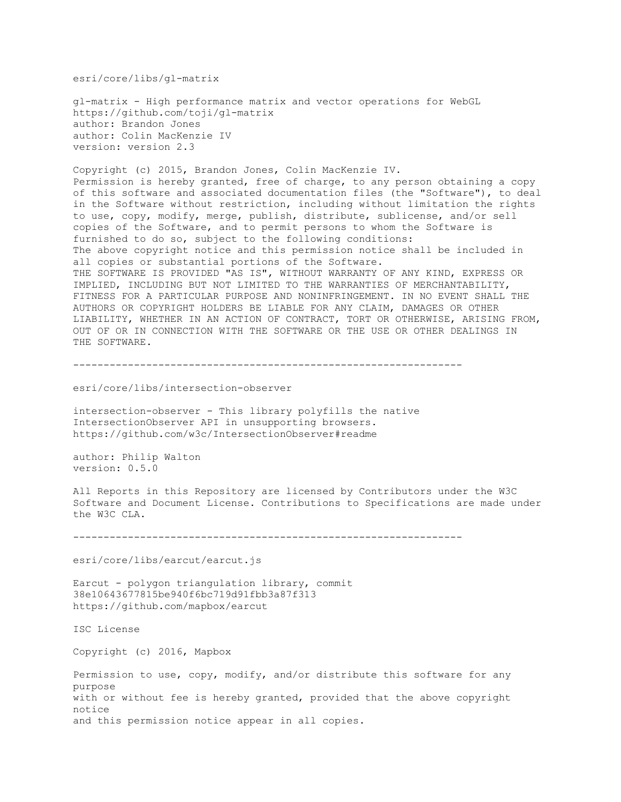esri/core/libs/gl-matrix

gl-matrix - High performance matrix and vector operations for WebGL https://github.com/toji/gl-matrix author: Brandon Jones author: Colin MacKenzie IV version: version 2.3

Copyright (c) 2015, Brandon Jones, Colin MacKenzie IV. Permission is hereby granted, free of charge, to any person obtaining a copy of this software and associated documentation files (the "Software"), to deal in the Software without restriction, including without limitation the rights to use, copy, modify, merge, publish, distribute, sublicense, and/or sell copies of the Software, and to permit persons to whom the Software is furnished to do so, subject to the following conditions: The above copyright notice and this permission notice shall be included in all copies or substantial portions of the Software. THE SOFTWARE IS PROVIDED "AS IS", WITHOUT WARRANTY OF ANY KIND, EXPRESS OR IMPLIED, INCLUDING BUT NOT LIMITED TO THE WARRANTIES OF MERCHANTABILITY, FITNESS FOR A PARTICULAR PURPOSE AND NONINFRINGEMENT. IN NO EVENT SHALL THE AUTHORS OR COPYRIGHT HOLDERS BE LIABLE FOR ANY CLAIM, DAMAGES OR OTHER LIABILITY, WHETHER IN AN ACTION OF CONTRACT, TORT OR OTHERWISE, ARISING FROM, OUT OF OR IN CONNECTION WITH THE SOFTWARE OR THE USE OR OTHER DEALINGS IN THE SOFTWARE.

----------------------------------------------------------------

## esri/core/libs/intersection-observer

intersection-observer - This library polyfills the native IntersectionObserver API in unsupporting browsers. https://github.com/w3c/IntersectionObserver#readme

author: Philip Walton version: 0.5.0

All Reports in this Repository are licensed by Contributors under the W3C Software and Document License. Contributions to Specifications are made under the W3C CLA.

----------------------------------------------------------------

esri/core/libs/earcut/earcut.js

Earcut - polygon triangulation library, commit 38e10643677815be940f6bc719d91fbb3a87f313 https://github.com/mapbox/earcut

ISC License

Copyright (c) 2016, Mapbox

Permission to use, copy, modify, and/or distribute this software for any purpose with or without fee is hereby granted, provided that the above copyright notice and this permission notice appear in all copies.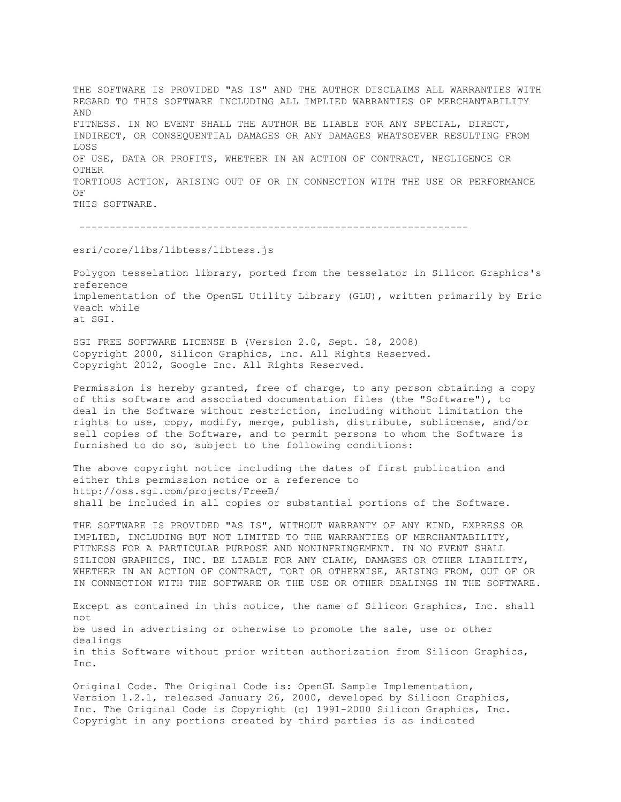THE SOFTWARE IS PROVIDED "AS IS" AND THE AUTHOR DISCLAIMS ALL WARRANTIES WITH REGARD TO THIS SOFTWARE INCLUDING ALL IMPLIED WARRANTIES OF MERCHANTABILITY AND FITNESS. IN NO EVENT SHALL THE AUTHOR BE LIABLE FOR ANY SPECIAL, DIRECT, INDIRECT, OR CONSEQUENTIAL DAMAGES OR ANY DAMAGES WHATSOEVER RESULTING FROM LOSS OF USE, DATA OR PROFITS, WHETHER IN AN ACTION OF CONTRACT, NEGLIGENCE OR OTHER TORTIOUS ACTION, ARISING OUT OF OR IN CONNECTION WITH THE USE OR PERFORMANCE OF THIS SOFTWARE.

----------------------------------------------------------------

esri/core/libs/libtess/libtess.js

Polygon tesselation library, ported from the tesselator in Silicon Graphics's reference implementation of the OpenGL Utility Library (GLU), written primarily by Eric Veach while at SGI.

SGI FREE SOFTWARE LICENSE B (Version 2.0, Sept. 18, 2008) Copyright 2000, Silicon Graphics, Inc. All Rights Reserved. Copyright 2012, Google Inc. All Rights Reserved.

Permission is hereby granted, free of charge, to any person obtaining a copy of this software and associated documentation files (the "Software"), to deal in the Software without restriction, including without limitation the rights to use, copy, modify, merge, publish, distribute, sublicense, and/or sell copies of the Software, and to permit persons to whom the Software is furnished to do so, subject to the following conditions:

The above copyright notice including the dates of first publication and either this permission notice or a reference to http://oss.sgi.com/projects/FreeB/ shall be included in all copies or substantial portions of the Software.

THE SOFTWARE IS PROVIDED "AS IS", WITHOUT WARRANTY OF ANY KIND, EXPRESS OR IMPLIED, INCLUDING BUT NOT LIMITED TO THE WARRANTIES OF MERCHANTABILITY, FITNESS FOR A PARTICULAR PURPOSE AND NONINFRINGEMENT. IN NO EVENT SHALL SILICON GRAPHICS, INC. BE LIABLE FOR ANY CLAIM, DAMAGES OR OTHER LIABILITY, WHETHER IN AN ACTION OF CONTRACT, TORT OR OTHERWISE, ARISING FROM, OUT OF OR IN CONNECTION WITH THE SOFTWARE OR THE USE OR OTHER DEALINGS IN THE SOFTWARE.

Except as contained in this notice, the name of Silicon Graphics, Inc. shall not be used in advertising or otherwise to promote the sale, use or other dealings in this Software without prior written authorization from Silicon Graphics, Inc.

Original Code. The Original Code is: OpenGL Sample Implementation, Version 1.2.1, released January 26, 2000, developed by Silicon Graphics, Inc. The Original Code is Copyright (c) 1991-2000 Silicon Graphics, Inc. Copyright in any portions created by third parties is as indicated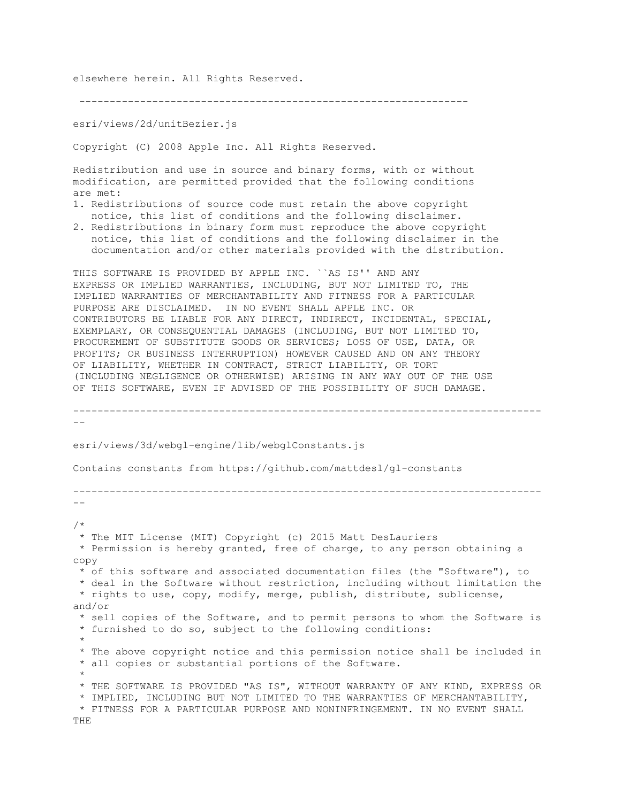elsewhere herein. All Rights Reserved.

----------------------------------------------------------------

esri/views/2d/unitBezier.js

THE

Copyright (C) 2008 Apple Inc. All Rights Reserved.

Redistribution and use in source and binary forms, with or without modification, are permitted provided that the following conditions are met:

- 1. Redistributions of source code must retain the above copyright notice, this list of conditions and the following disclaimer.
- 2. Redistributions in binary form must reproduce the above copyright notice, this list of conditions and the following disclaimer in the documentation and/or other materials provided with the distribution.

THIS SOFTWARE IS PROVIDED BY APPLE INC. ``AS IS'' AND ANY EXPRESS OR IMPLIED WARRANTIES, INCLUDING, BUT NOT LIMITED TO, THE IMPLIED WARRANTIES OF MERCHANTABILITY AND FITNESS FOR A PARTICULAR PURPOSE ARE DISCLAIMED. IN NO EVENT SHALL APPLE INC. OR CONTRIBUTORS BE LIABLE FOR ANY DIRECT, INDIRECT, INCIDENTAL, SPECIAL, EXEMPLARY, OR CONSEQUENTIAL DAMAGES (INCLUDING, BUT NOT LIMITED TO, PROCUREMENT OF SUBSTITUTE GOODS OR SERVICES; LOSS OF USE, DATA, OR PROFITS; OR BUSINESS INTERRUPTION) HOWEVER CAUSED AND ON ANY THEORY OF LIABILITY, WHETHER IN CONTRACT, STRICT LIABILITY, OR TORT (INCLUDING NEGLIGENCE OR OTHERWISE) ARISING IN ANY WAY OUT OF THE USE OF THIS SOFTWARE, EVEN IF ADVISED OF THE POSSIBILITY OF SUCH DAMAGE.

```
-----------------------------------------------------------------------------
--
esri/views/3d/webgl-engine/lib/webglConstants.js
Contains constants from https://github.com/mattdesl/gl-constants
-----------------------------------------------------------------------------
--
/*
 * The MIT License (MIT) Copyright (c) 2015 Matt DesLauriers
* Permission is hereby granted, free of charge, to any person obtaining a 
copy
 * of this software and associated documentation files (the "Software"), to
 * deal in the Software without restriction, including without limitation the
 * rights to use, copy, modify, merge, publish, distribute, sublicense, 
and/or
 * sell copies of the Software, and to permit persons to whom the Software is
 * furnished to do so, subject to the following conditions:
 *
 * The above copyright notice and this permission notice shall be included in
 * all copies or substantial portions of the Software.
 *
 * THE SOFTWARE IS PROVIDED "AS IS", WITHOUT WARRANTY OF ANY KIND, EXPRESS OR
 * IMPLIED, INCLUDING BUT NOT LIMITED TO THE WARRANTIES OF MERCHANTABILITY,
 * FITNESS FOR A PARTICULAR PURPOSE AND NONINFRINGEMENT. IN NO EVENT SHALL
```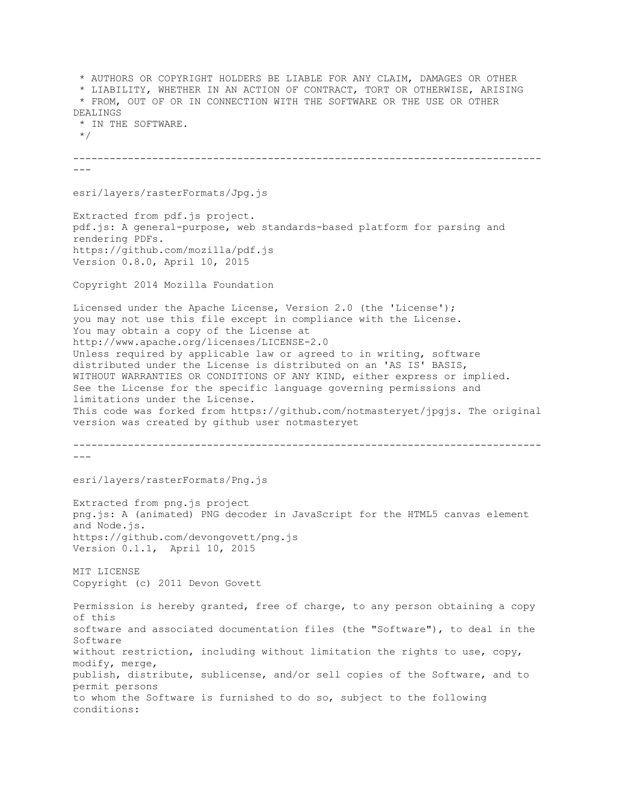\* AUTHORS OR COPYRIGHT HOLDERS BE LIABLE FOR ANY CLAIM, DAMAGES OR OTHER \* LIABILITY, WHETHER IN AN ACTION OF CONTRACT, TORT OR OTHERWISE, ARISING \* FROM, OUT OF OR IN CONNECTION WITH THE SOFTWARE OR THE USE OR OTHER DEALINGS \* IN THE SOFTWARE. \*/ -----------------------------------------------------------------------------  $--$ esri/layers/rasterFormats/Jpg.js Extracted from pdf.js project. pdf.js: A general-purpose, web standards-based platform for parsing and rendering PDFs. https://github.com/mozilla/pdf.js Version 0.8.0, April 10, 2015 Copyright 2014 Mozilla Foundation Licensed under the Apache License, Version 2.0 (the 'License'); you may not use this file except in compliance with the License. You may obtain a copy of the License at http://www.apache.org/licenses/LICENSE-2.0 Unless required by applicable law or agreed to in writing, software distributed under the License is distributed on an 'AS IS' BASIS, WITHOUT WARRANTIES OR CONDITIONS OF ANY KIND, either express or implied. See the License for the specific language governing permissions and limitations under the License. This code was forked from https://github.com/notmasteryet/jpgjs. The original version was created by github user notmasteryet ----------------------------------------------------------------------------- -- esri/layers/rasterFormats/Png.js Extracted from png.js project png.js: A (animated) PNG decoder in JavaScript for the HTML5 canvas element and Node.js. https://github.com/devongovett/png.js Version 0.1.1, April 10, 2015 MIT LICENSE Copyright (c) 2011 Devon Govett Permission is hereby granted, free of charge, to any person obtaining a copy of this software and associated documentation files (the "Software"), to deal in the Software without restriction, including without limitation the rights to use, copy, modify, merge, publish, distribute, sublicense, and/or sell copies of the Software, and to permit persons to whom the Software is furnished to do so, subject to the following conditions: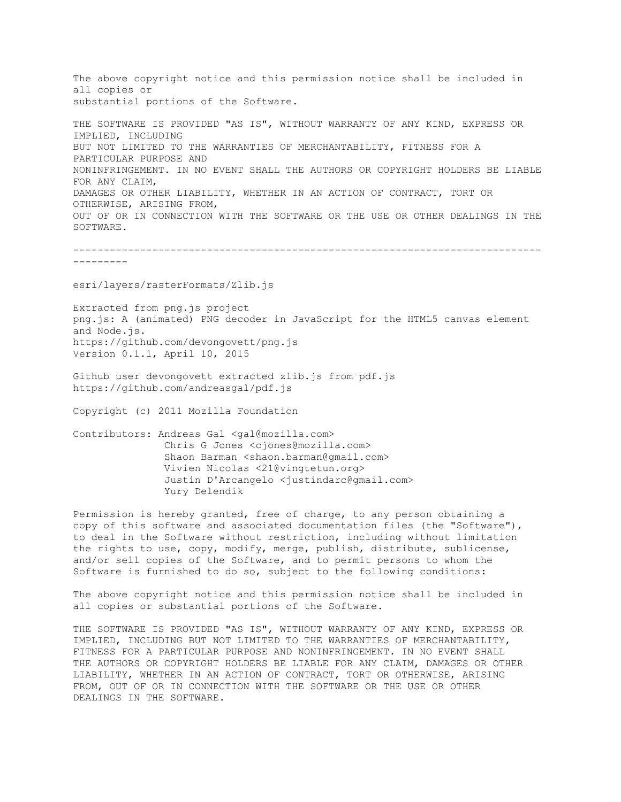The above copyright notice and this permission notice shall be included in all copies or substantial portions of the Software.

THE SOFTWARE IS PROVIDED "AS IS", WITHOUT WARRANTY OF ANY KIND, EXPRESS OR IMPLIED, INCLUDING BUT NOT LIMITED TO THE WARRANTIES OF MERCHANTABILITY, FITNESS FOR A PARTICULAR PURPOSE AND NONINFRINGEMENT. IN NO EVENT SHALL THE AUTHORS OR COPYRIGHT HOLDERS BE LIABLE FOR ANY CLAIM, DAMAGES OR OTHER LIABILITY, WHETHER IN AN ACTION OF CONTRACT, TORT OR OTHERWISE, ARISING FROM, OUT OF OR IN CONNECTION WITH THE SOFTWARE OR THE USE OR OTHER DEALINGS IN THE SOFTWARE.

----------------------------------------------------------------------------- ---------

esri/layers/rasterFormats/Zlib.js

Extracted from png.js project png.js: A (animated) PNG decoder in JavaScript for the HTML5 canvas element and Node.js. https://github.com/devongovett/png.js Version 0.1.1, April 10, 2015

Github user devongovett extracted zlib.js from pdf.js https://github.com/andreasgal/pdf.js

Copyright (c) 2011 Mozilla Foundation

Contributors: Andreas Gal <gal@mozilla.com> Chris G Jones <cjones@mozilla.com> Shaon Barman <shaon.barman@gmail.com> Vivien Nicolas <21@vingtetun.org> Justin D'Arcangelo <justindarc@gmail.com> Yury Delendik

Permission is hereby granted, free of charge, to any person obtaining a copy of this software and associated documentation files (the "Software"), to deal in the Software without restriction, including without limitation the rights to use, copy, modify, merge, publish, distribute, sublicense, and/or sell copies of the Software, and to permit persons to whom the Software is furnished to do so, subject to the following conditions:

The above copyright notice and this permission notice shall be included in all copies or substantial portions of the Software.

THE SOFTWARE IS PROVIDED "AS IS", WITHOUT WARRANTY OF ANY KIND, EXPRESS OR IMPLIED, INCLUDING BUT NOT LIMITED TO THE WARRANTIES OF MERCHANTABILITY, FITNESS FOR A PARTICULAR PURPOSE AND NONINFRINGEMENT. IN NO EVENT SHALL THE AUTHORS OR COPYRIGHT HOLDERS BE LIABLE FOR ANY CLAIM, DAMAGES OR OTHER LIABILITY, WHETHER IN AN ACTION OF CONTRACT, TORT OR OTHERWISE, ARISING FROM, OUT OF OR IN CONNECTION WITH THE SOFTWARE OR THE USE OR OTHER DEALINGS IN THE SOFTWARE.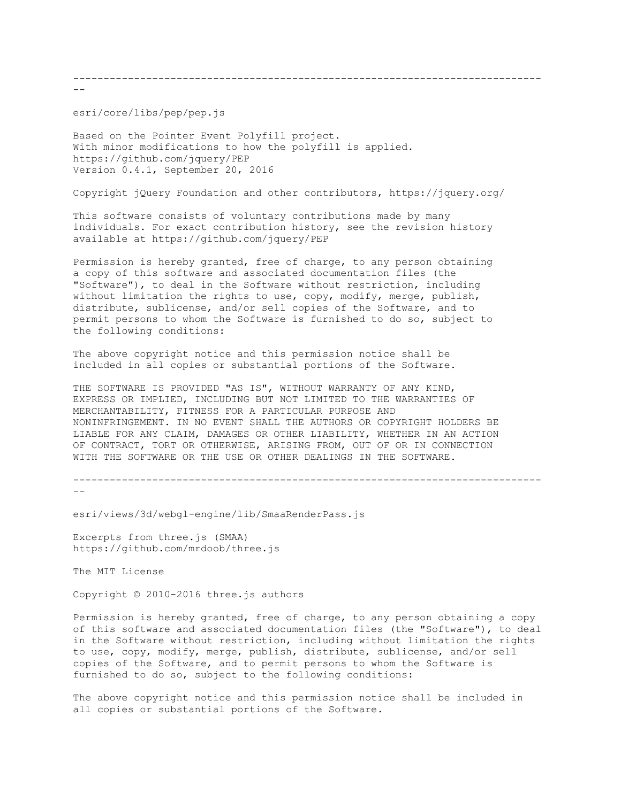-----------------------------------------------------------------------------

 $-$ 

esri/core/libs/pep/pep.js

Based on the Pointer Event Polyfill project. With minor modifications to how the polyfill is applied. https://github.com/jquery/PEP Version 0.4.1, September 20, 2016

Copyright jQuery Foundation and other contributors, https://jquery.org/

This software consists of voluntary contributions made by many individuals. For exact contribution history, see the revision history available at https://github.com/jquery/PEP

Permission is hereby granted, free of charge, to any person obtaining a copy of this software and associated documentation files (the "Software"), to deal in the Software without restriction, including without limitation the rights to use, copy, modify, merge, publish, distribute, sublicense, and/or sell copies of the Software, and to permit persons to whom the Software is furnished to do so, subject to the following conditions:

The above copyright notice and this permission notice shall be included in all copies or substantial portions of the Software.

THE SOFTWARE IS PROVIDED "AS IS", WITHOUT WARRANTY OF ANY KIND, EXPRESS OR IMPLIED, INCLUDING BUT NOT LIMITED TO THE WARRANTIES OF MERCHANTABILITY, FITNESS FOR A PARTICULAR PURPOSE AND NONINFRINGEMENT. IN NO EVENT SHALL THE AUTHORS OR COPYRIGHT HOLDERS BE LIABLE FOR ANY CLAIM, DAMAGES OR OTHER LIABILITY, WHETHER IN AN ACTION OF CONTRACT, TORT OR OTHERWISE, ARISING FROM, OUT OF OR IN CONNECTION WITH THE SOFTWARE OR THE USE OR OTHER DEALINGS IN THE SOFTWARE.

-----------------------------------------------------------------------------  $- -$ 

esri/views/3d/webgl-engine/lib/SmaaRenderPass.js

Excerpts from three.js (SMAA) https://github.com/mrdoob/three.js

The MIT License

Copyright © 2010-2016 three.js authors

Permission is hereby granted, free of charge, to any person obtaining a copy of this software and associated documentation files (the "Software"), to deal in the Software without restriction, including without limitation the rights to use, copy, modify, merge, publish, distribute, sublicense, and/or sell copies of the Software, and to permit persons to whom the Software is furnished to do so, subject to the following conditions:

The above copyright notice and this permission notice shall be included in all copies or substantial portions of the Software.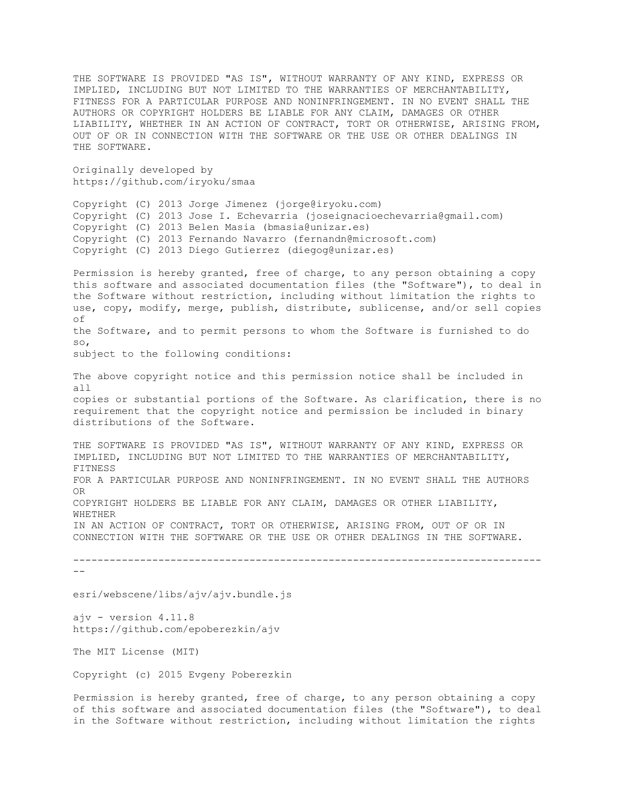THE SOFTWARE IS PROVIDED "AS IS", WITHOUT WARRANTY OF ANY KIND, EXPRESS OR IMPLIED, INCLUDING BUT NOT LIMITED TO THE WARRANTIES OF MERCHANTABILITY, FITNESS FOR A PARTICULAR PURPOSE AND NONINFRINGEMENT. IN NO EVENT SHALL THE AUTHORS OR COPYRIGHT HOLDERS BE LIABLE FOR ANY CLAIM, DAMAGES OR OTHER LIABILITY, WHETHER IN AN ACTION OF CONTRACT, TORT OR OTHERWISE, ARISING FROM, OUT OF OR IN CONNECTION WITH THE SOFTWARE OR THE USE OR OTHER DEALINGS IN THE SOFTWARE.

Originally developed by https://github.com/iryoku/smaa

Copyright (C) 2013 Jorge Jimenez (jorge@iryoku.com) Copyright (C) 2013 Jose I. Echevarria (joseignacioechevarria@gmail.com) Copyright (C) 2013 Belen Masia (bmasia@unizar.es) Copyright (C) 2013 Fernando Navarro (fernandn@microsoft.com) Copyright (C) 2013 Diego Gutierrez (diegog@unizar.es)

Permission is hereby granted, free of charge, to any person obtaining a copy this software and associated documentation files (the "Software"), to deal in the Software without restriction, including without limitation the rights to use, copy, modify, merge, publish, distribute, sublicense, and/or sell copies of the Software, and to permit persons to whom the Software is furnished to do so,

subject to the following conditions:

The above copyright notice and this permission notice shall be included in all copies or substantial portions of the Software. As clarification, there is no requirement that the copyright notice and permission be included in binary distributions of the Software.

THE SOFTWARE IS PROVIDED "AS IS", WITHOUT WARRANTY OF ANY KIND, EXPRESS OR IMPLIED, INCLUDING BUT NOT LIMITED TO THE WARRANTIES OF MERCHANTABILITY, FITNESS FOR A PARTICULAR PURPOSE AND NONINFRINGEMENT. IN NO EVENT SHALL THE AUTHORS OR COPYRIGHT HOLDERS BE LIABLE FOR ANY CLAIM, DAMAGES OR OTHER LIABILITY, WHETHER IN AN ACTION OF CONTRACT, TORT OR OTHERWISE, ARISING FROM, OUT OF OR IN CONNECTION WITH THE SOFTWARE OR THE USE OR OTHER DEALINGS IN THE SOFTWARE.

-----------------------------------------------------------------------------  $--$ 

esri/webscene/libs/ajv/ajv.bundle.js

ajv - version 4.11.8 https://github.com/epoberezkin/ajv

The MIT License (MIT)

Copyright (c) 2015 Evgeny Poberezkin

Permission is hereby granted, free of charge, to any person obtaining a copy of this software and associated documentation files (the "Software"), to deal in the Software without restriction, including without limitation the rights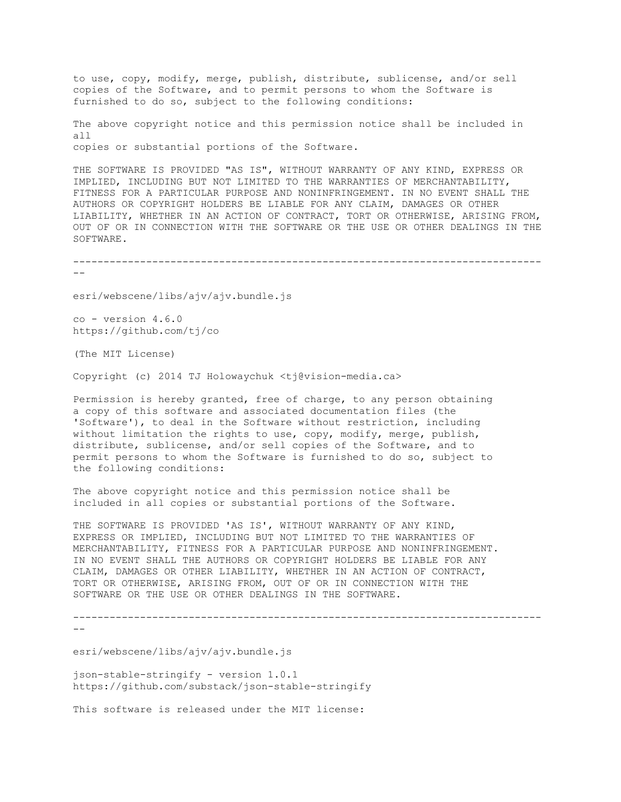to use, copy, modify, merge, publish, distribute, sublicense, and/or sell copies of the Software, and to permit persons to whom the Software is furnished to do so, subject to the following conditions:

The above copyright notice and this permission notice shall be included in all copies or substantial portions of the Software.

THE SOFTWARE IS PROVIDED "AS IS", WITHOUT WARRANTY OF ANY KIND, EXPRESS OR IMPLIED, INCLUDING BUT NOT LIMITED TO THE WARRANTIES OF MERCHANTABILITY, FITNESS FOR A PARTICULAR PURPOSE AND NONINFRINGEMENT. IN NO EVENT SHALL THE AUTHORS OR COPYRIGHT HOLDERS BE LIABLE FOR ANY CLAIM, DAMAGES OR OTHER LIABILITY, WHETHER IN AN ACTION OF CONTRACT, TORT OR OTHERWISE, ARISING FROM, OUT OF OR IN CONNECTION WITH THE SOFTWARE OR THE USE OR OTHER DEALINGS IN THE SOFTWARE.

-----------------------------------------------------------------------------

 $- -$ 

esri/webscene/libs/ajv/ajv.bundle.js

co - version 4.6.0 https://github.com/tj/co

(The MIT License)

Copyright (c) 2014 TJ Holowaychuk <tj@vision-media.ca>

Permission is hereby granted, free of charge, to any person obtaining a copy of this software and associated documentation files (the 'Software'), to deal in the Software without restriction, including without limitation the rights to use, copy, modify, merge, publish, distribute, sublicense, and/or sell copies of the Software, and to permit persons to whom the Software is furnished to do so, subject to the following conditions:

The above copyright notice and this permission notice shall be included in all copies or substantial portions of the Software.

THE SOFTWARE IS PROVIDED 'AS IS', WITHOUT WARRANTY OF ANY KIND, EXPRESS OR IMPLIED, INCLUDING BUT NOT LIMITED TO THE WARRANTIES OF MERCHANTABILITY, FITNESS FOR A PARTICULAR PURPOSE AND NONINFRINGEMENT. IN NO EVENT SHALL THE AUTHORS OR COPYRIGHT HOLDERS BE LIABLE FOR ANY CLAIM, DAMAGES OR OTHER LIABILITY, WHETHER IN AN ACTION OF CONTRACT, TORT OR OTHERWISE, ARISING FROM, OUT OF OR IN CONNECTION WITH THE SOFTWARE OR THE USE OR OTHER DEALINGS IN THE SOFTWARE.

-----------------------------------------------------------------------------

 $-$ 

esri/webscene/libs/ajv/ajv.bundle.js

json-stable-stringify - version 1.0.1 https://github.com/substack/json-stable-stringify

This software is released under the MIT license: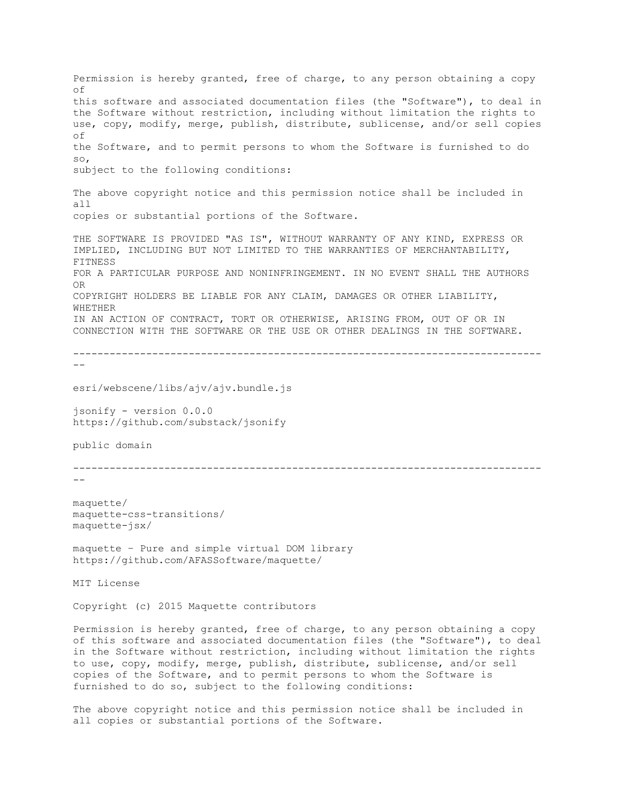Permission is hereby granted, free of charge, to any person obtaining a copy of this software and associated documentation files (the "Software"), to deal in the Software without restriction, including without limitation the rights to use, copy, modify, merge, publish, distribute, sublicense, and/or sell copies of the Software, and to permit persons to whom the Software is furnished to do so, subject to the following conditions: The above copyright notice and this permission notice shall be included in all copies or substantial portions of the Software. THE SOFTWARE IS PROVIDED "AS IS", WITHOUT WARRANTY OF ANY KIND, EXPRESS OR IMPLIED, INCLUDING BUT NOT LIMITED TO THE WARRANTIES OF MERCHANTABILITY, FITNESS FOR A PARTICULAR PURPOSE AND NONINFRINGEMENT. IN NO EVENT SHALL THE AUTHORS OR COPYRIGHT HOLDERS BE LIABLE FOR ANY CLAIM, DAMAGES OR OTHER LIABILITY, **WHETHER** IN AN ACTION OF CONTRACT, TORT OR OTHERWISE, ARISING FROM, OUT OF OR IN CONNECTION WITH THE SOFTWARE OR THE USE OR OTHER DEALINGS IN THE SOFTWARE. ----------------------------------------------------------------------------- - esri/webscene/libs/ajv/ajv.bundle.js jsonify - version 0.0.0 https://github.com/substack/jsonify public domain -----------------------------------------------------------------------------  $$ maquette/ maquette-css-transitions/ maquette-jsx/ maquette – Pure and simple virtual DOM library https://github.com/AFASSoftware/maquette/ MIT License Copyright (c) 2015 Maquette contributors Permission is hereby granted, free of charge, to any person obtaining a copy of this software and associated documentation files (the "Software"), to deal in the Software without restriction, including without limitation the rights to use, copy, modify, merge, publish, distribute, sublicense, and/or sell copies of the Software, and to permit persons to whom the Software is

The above copyright notice and this permission notice shall be included in all copies or substantial portions of the Software.

furnished to do so, subject to the following conditions: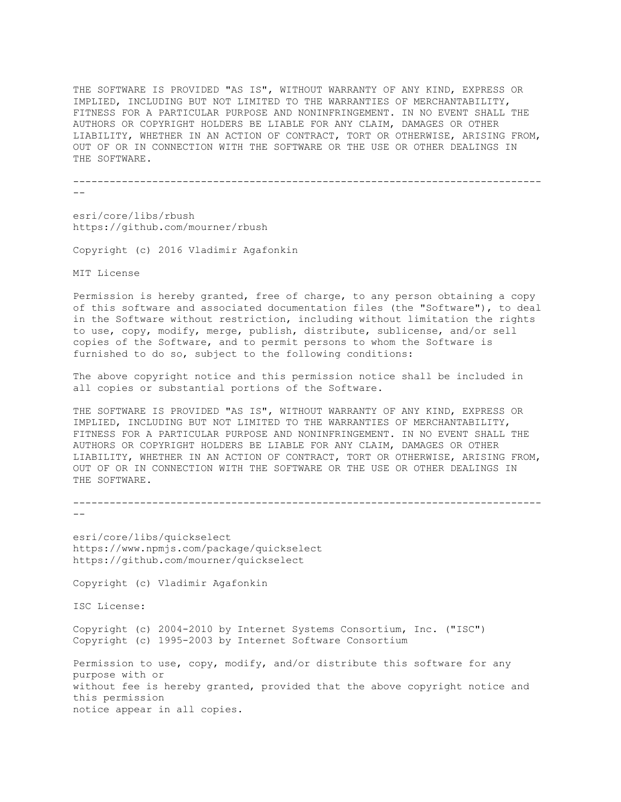THE SOFTWARE IS PROVIDED "AS IS", WITHOUT WARRANTY OF ANY KIND, EXPRESS OR IMPLIED, INCLUDING BUT NOT LIMITED TO THE WARRANTIES OF MERCHANTABILITY, FITNESS FOR A PARTICULAR PURPOSE AND NONINFRINGEMENT. IN NO EVENT SHALL THE AUTHORS OR COPYRIGHT HOLDERS BE LIABLE FOR ANY CLAIM, DAMAGES OR OTHER LIABILITY, WHETHER IN AN ACTION OF CONTRACT, TORT OR OTHERWISE, ARISING FROM, OUT OF OR IN CONNECTION WITH THE SOFTWARE OR THE USE OR OTHER DEALINGS IN THE SOFTWARE.

-----------------------------------------------------------------------------

--

esri/core/libs/rbush https://github.com/mourner/rbush

Copyright (c) 2016 Vladimir Agafonkin

MIT License

Permission is hereby granted, free of charge, to any person obtaining a copy of this software and associated documentation files (the "Software"), to deal in the Software without restriction, including without limitation the rights to use, copy, modify, merge, publish, distribute, sublicense, and/or sell copies of the Software, and to permit persons to whom the Software is furnished to do so, subject to the following conditions:

The above copyright notice and this permission notice shall be included in all copies or substantial portions of the Software.

THE SOFTWARE IS PROVIDED "AS IS", WITHOUT WARRANTY OF ANY KIND, EXPRESS OR IMPLIED, INCLUDING BUT NOT LIMITED TO THE WARRANTIES OF MERCHANTABILITY, FITNESS FOR A PARTICULAR PURPOSE AND NONINFRINGEMENT. IN NO EVENT SHALL THE AUTHORS OR COPYRIGHT HOLDERS BE LIABLE FOR ANY CLAIM, DAMAGES OR OTHER LIABILITY, WHETHER IN AN ACTION OF CONTRACT, TORT OR OTHERWISE, ARISING FROM, OUT OF OR IN CONNECTION WITH THE SOFTWARE OR THE USE OR OTHER DEALINGS IN THE SOFTWARE.

```
-----------------------------------------------------------------------------
--
```
esri/core/libs/quickselect https://www.npmjs.com/package/quickselect https://github.com/mourner/quickselect

Copyright (c) Vladimir Agafonkin

ISC License:

Copyright (c) 2004-2010 by Internet Systems Consortium, Inc. ("ISC") Copyright (c) 1995-2003 by Internet Software Consortium

Permission to use, copy, modify, and/or distribute this software for any purpose with or without fee is hereby granted, provided that the above copyright notice and this permission notice appear in all copies.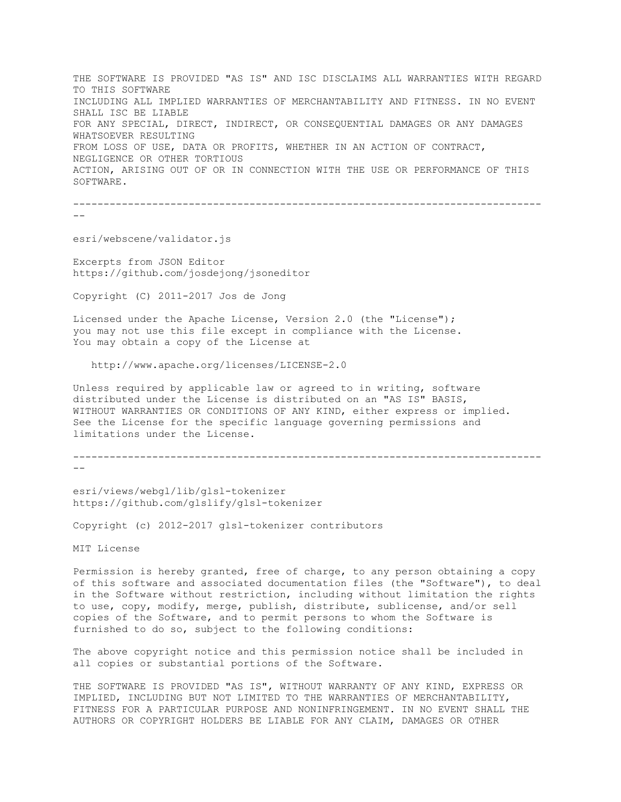THE SOFTWARE IS PROVIDED "AS IS" AND ISC DISCLAIMS ALL WARRANTIES WITH REGARD TO THIS SOFTWARE INCLUDING ALL IMPLIED WARRANTIES OF MERCHANTABILITY AND FITNESS. IN NO EVENT SHALL ISC BE LIABLE FOR ANY SPECIAL, DIRECT, INDIRECT, OR CONSEQUENTIAL DAMAGES OR ANY DAMAGES WHATSOEVER RESULTING FROM LOSS OF USE, DATA OR PROFITS, WHETHER IN AN ACTION OF CONTRACT, NEGLIGENCE OR OTHER TORTIOUS ACTION, ARISING OUT OF OR IN CONNECTION WITH THE USE OR PERFORMANCE OF THIS SOFTWARE.

----------------------------------------------------------------------------- --

esri/webscene/validator.js

Excerpts from JSON Editor https://github.com/josdejong/jsoneditor

Copyright (C) 2011-2017 Jos de Jong

Licensed under the Apache License, Version 2.0 (the "License"); you may not use this file except in compliance with the License. You may obtain a copy of the License at

http://www.apache.org/licenses/LICENSE-2.0

Unless required by applicable law or agreed to in writing, software distributed under the License is distributed on an "AS IS" BASIS, WITHOUT WARRANTIES OR CONDITIONS OF ANY KIND, either express or implied. See the License for the specific language governing permissions and limitations under the License.

```
-----------------------------------------------------------------------------
```
--

esri/views/webgl/lib/glsl-tokenizer https://github.com/glslify/glsl-tokenizer

Copyright (c) 2012-2017 glsl-tokenizer contributors

MIT License

Permission is hereby granted, free of charge, to any person obtaining a copy of this software and associated documentation files (the "Software"), to deal in the Software without restriction, including without limitation the rights to use, copy, modify, merge, publish, distribute, sublicense, and/or sell copies of the Software, and to permit persons to whom the Software is furnished to do so, subject to the following conditions:

The above copyright notice and this permission notice shall be included in all copies or substantial portions of the Software.

THE SOFTWARE IS PROVIDED "AS IS", WITHOUT WARRANTY OF ANY KIND, EXPRESS OR IMPLIED, INCLUDING BUT NOT LIMITED TO THE WARRANTIES OF MERCHANTABILITY, FITNESS FOR A PARTICULAR PURPOSE AND NONINFRINGEMENT. IN NO EVENT SHALL THE AUTHORS OR COPYRIGHT HOLDERS BE LIABLE FOR ANY CLAIM, DAMAGES OR OTHER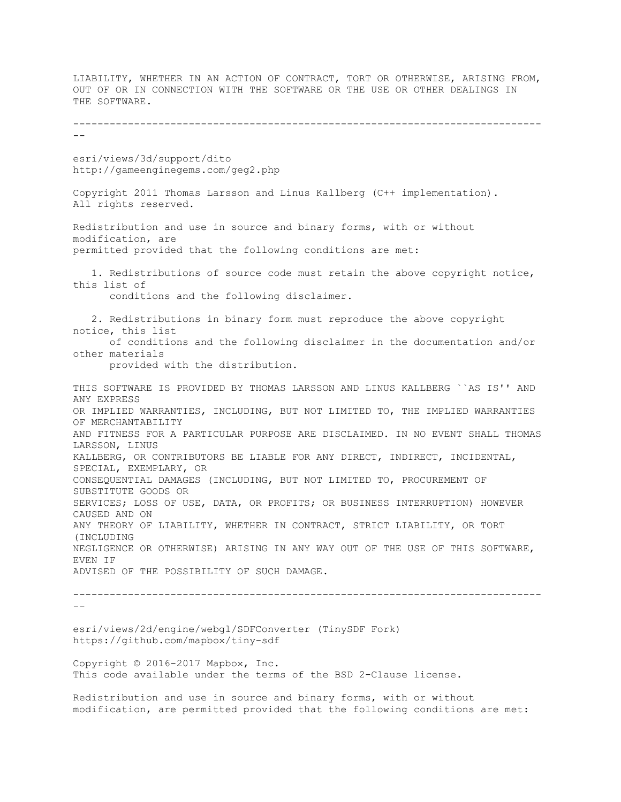LIABILITY, WHETHER IN AN ACTION OF CONTRACT, TORT OR OTHERWISE, ARISING FROM, OUT OF OR IN CONNECTION WITH THE SOFTWARE OR THE USE OR OTHER DEALINGS IN THE SOFTWARE. -----------------------------------------------------------------------------  $-\,$ esri/views/3d/support/dito http://gameenginegems.com/geg2.php Copyright 2011 Thomas Larsson and Linus Kallberg (C++ implementation). All rights reserved. Redistribution and use in source and binary forms, with or without modification, are permitted provided that the following conditions are met: 1. Redistributions of source code must retain the above copyright notice, this list of conditions and the following disclaimer. 2. Redistributions in binary form must reproduce the above copyright notice, this list of conditions and the following disclaimer in the documentation and/or other materials provided with the distribution. THIS SOFTWARE IS PROVIDED BY THOMAS LARSSON AND LINUS KALLBERG ``AS IS'' AND ANY EXPRESS OR IMPLIED WARRANTIES, INCLUDING, BUT NOT LIMITED TO, THE IMPLIED WARRANTIES OF MERCHANTABILITY AND FITNESS FOR A PARTICULAR PURPOSE ARE DISCLAIMED. IN NO EVENT SHALL THOMAS LARSSON, LINUS KALLBERG, OR CONTRIBUTORS BE LIABLE FOR ANY DIRECT, INDIRECT, INCIDENTAL, SPECIAL, EXEMPLARY, OR CONSEQUENTIAL DAMAGES (INCLUDING, BUT NOT LIMITED TO, PROCUREMENT OF SUBSTITUTE GOODS OR SERVICES; LOSS OF USE, DATA, OR PROFITS; OR BUSINESS INTERRUPTION) HOWEVER CAUSED AND ON ANY THEORY OF LIABILITY, WHETHER IN CONTRACT, STRICT LIABILITY, OR TORT (INCLUDING NEGLIGENCE OR OTHERWISE) ARISING IN ANY WAY OUT OF THE USE OF THIS SOFTWARE, EVEN IF ADVISED OF THE POSSIBILITY OF SUCH DAMAGE. -----------------------------------------------------------------------------  $$ esri/views/2d/engine/webgl/SDFConverter (TinySDF Fork) https://github.com/mapbox/tiny-sdf Copyright © 2016-2017 Mapbox, Inc. This code available under the terms of the BSD 2-Clause license. Redistribution and use in source and binary forms, with or without

modification, are permitted provided that the following conditions are met: